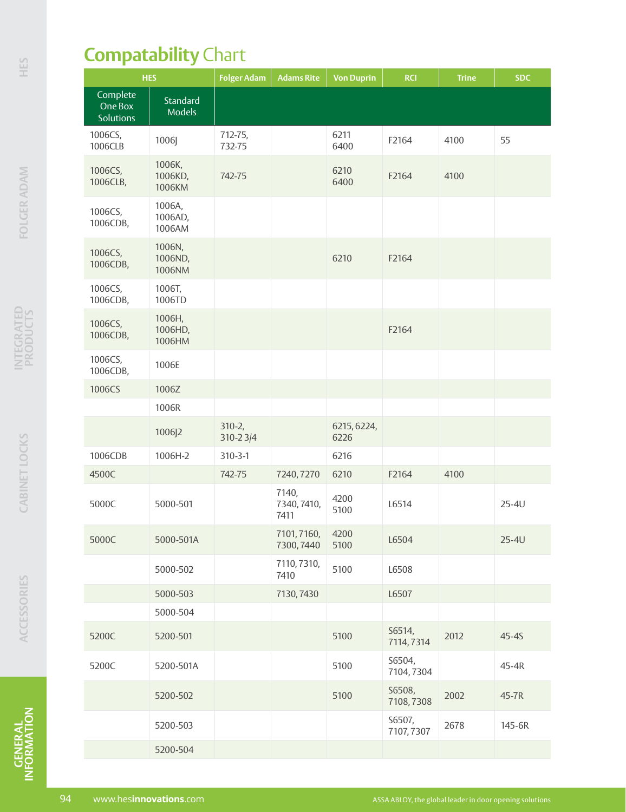## **Compatability** Chart

| <b>HES</b>                              |                             | <b>Folger Adam</b>     | <b>Adams Rite</b>            | <b>Von Duprin</b>   | <b>RCI</b>          | <b>Trine</b> | <b>SDC</b> |
|-----------------------------------------|-----------------------------|------------------------|------------------------------|---------------------|---------------------|--------------|------------|
| Complete<br>One Box<br><b>Solutions</b> | Standard<br><b>Models</b>   |                        |                              |                     |                     |              |            |
| 1006CS,<br>1006CLB                      | 1006]                       | 712-75,<br>732-75      |                              | 6211<br>6400        | F2164               | 4100         | 55         |
| 1006CS,<br>1006CLB,                     | 1006K,<br>1006KD,<br>1006KM | 742-75                 |                              | 6210<br>6400        | F2164               | 4100         |            |
| 1006CS,<br>1006CDB,                     | 1006A,<br>1006AD,<br>1006AM |                        |                              |                     |                     |              |            |
| 1006CS,<br>1006CDB,                     | 1006N,<br>1006ND,<br>1006NM |                        |                              | 6210                | F2164               |              |            |
| 1006CS,<br>1006CDB,                     | 1006T,<br>1006TD            |                        |                              |                     |                     |              |            |
| 1006CS,<br>1006CDB,                     | 1006H,<br>1006HD,<br>1006HM |                        |                              |                     | F2164               |              |            |
| 1006CS,<br>1006CDB,                     | 1006E                       |                        |                              |                     |                     |              |            |
| 1006CS                                  | 1006Z                       |                        |                              |                     |                     |              |            |
|                                         | 1006R                       |                        |                              |                     |                     |              |            |
|                                         | 1006J2                      | $310 - 2,$<br>310-23/4 |                              | 6215, 6224,<br>6226 |                     |              |            |
| 1006CDB                                 | 1006H-2                     | $310 - 3 - 1$          |                              | 6216                |                     |              |            |
| 4500C                                   |                             | 742-75                 | 7240, 7270                   | 6210                | F2164               | 4100         |            |
| 5000C                                   | 5000-501                    |                        | 7140,<br>7340, 7410,<br>7411 | 4200<br>5100        | L6514               |              | $25-4U$    |
| 5000C                                   | 5000-501A                   |                        | 7101,7160,<br>7300, 7440     | 4200<br>5100        | L6504               |              | $25-4U$    |
|                                         | 5000-502                    |                        | 7110, 7310,<br>7410          | 5100                | L6508               |              |            |
|                                         | 5000-503                    |                        | 7130, 7430                   |                     | L6507               |              |            |
|                                         | 5000-504                    |                        |                              |                     |                     |              |            |
| 5200C                                   | 5200-501                    |                        |                              | 5100                | S6514,<br>7114,7314 | 2012         | $45-45$    |
| 5200C                                   | 5200-501A                   |                        |                              | 5100                | S6504,<br>7104,7304 |              | 45-4R      |
|                                         | 5200-502                    |                        |                              | 5100                | S6508,<br>7108,7308 | 2002         | 45-7R      |
|                                         | 5200-503                    |                        |                              |                     | S6507,<br>7107,7307 | 2678         | 145-6R     |
|                                         | 5200-504                    |                        |                              |                     |                     |              |            |

**GENERAL INFORMATION FOLGER ADAM HESGENERAL**<br>INFORMATION